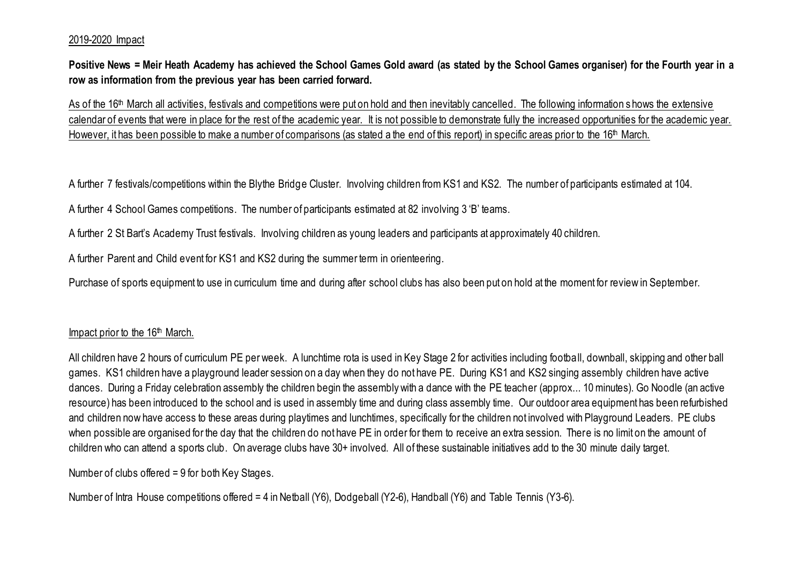## 2019-2020 Impact

**Positive News = Meir Heath Academy has achieved the School Games Gold award (as stated by the School Games organiser) for the Fourth year in a row as information from the previous year has been carried forward.**

As of the 16<sup>th</sup> March all activities, festivals and competitions were put on hold and then inevitably cancelled. The following information shows the extensive calendar of events that were in place for the rest of the academic year. It is not possible to demonstrate fully the increased opportunities for the academic year. However, it has been possible to make a number of comparisons (as stated a the end of this report) in specific areas prior to the 16<sup>th</sup> March.

A further 7 festivals/competitions within the Blythe Bridge Cluster. Involving children from KS1 and KS2. The number of participants estimated at 104.

A further 4 School Games competitions. The number of participants estimated at 82 involving 3 'B' teams.

A further 2 St Bart's Academy Trust festivals. Involving children as young leaders and participants at approximately 40 children.

A further Parent and Child event for KS1 and KS2 during the summer term in orienteering.

Purchase of sports equipment to use in curriculum time and during after school clubs has also been put on hold at the moment for review in September.

## Impact prior to the 16<sup>th</sup> March.

All children have 2 hours of curriculum PE per week. A lunchtime rota is used in Key Stage 2 for activities including football, downball, skipping and other ball games. KS1 children have a playground leader session on a day when they do not have PE. During KS1 and KS2 singing assembly children have active dances. During a Friday celebration assembly the children begin the assembly with a dance with the PE teacher (approx... 10 minutes). Go Noodle (an active resource) has been introduced to the school and is used in assembly time and during class assembly time. Our outdoor area equipment has been refurbished and children now have access to these areas during playtimes and lunchtimes, specifically for the children not involved with Playground Leaders. PE clubs when possible are organised for the day that the children do not have PE in order for them to receive an extra session. There is no limit on the amount of children who can attend a sports club. On average clubs have 30+ involved. All of these sustainable initiatives add to the 30 minute daily target.

Number of clubs offered = 9 for both Key Stages.

Number of Intra House competitions offered = 4 in Netball (Y6), Dodgeball (Y2-6), Handball (Y6) and Table Tennis (Y3-6).